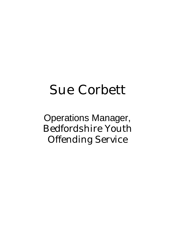# Sue Corbett

Operations Manager, Bedfordshire Youth Offending Service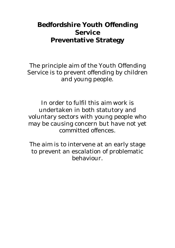# **Bedfordshire Youth Offending Service Preventative Strategy**

The principle aim of the Youth Offending Service is to prevent offending by children and young people.

In order to fulfil this aim work is undertaken in both statutory and voluntary sectors with young people who may be causing concern but have not yet committed offences.

The aim is to intervene at an early stage to prevent an escalation of problematic behaviour.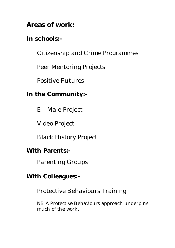# **Areas of work:**

# **In schools:-**

Citizenship and Crime Programmes

Peer Mentoring Projects

Positive Futures

## **In the Community:-**

E – Male Project

Video Project

Black History Project

## **With Parents:-**

Parenting Groups

## **With Colleagues:-**

Protective Behaviours Training

NB A Protective Behaviours approach underpins much of the work.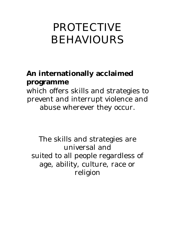# PROTECTIVE BEHAVIOURS

# **An internationally acclaimed programme**

which offers skills and strategies to prevent and interrupt violence and abuse wherever they occur.

The skills and strategies are universal and suited to all people regardless of age, ability, culture, race or religion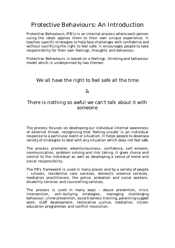## Protective Behaviours: An Introduction

Protective Behaviours (PB's) is an internal process where each person using the ideas applies them to their own unique experience. It teaches specific strategies to help face challenges with confidence and without sacrificing the right to feel safe. It encourages people to take responsibility for their own feelings, thoughts and behaviour.

Protective Behaviours is based on a feelings, thinking and behaviour model which is underpinned by two themes:

#### We all have the right to feel safe all the time

#### $\mathcal{R}_{I}$

#### There is nothing so awful we can't talk about it with someone

The process focuses on developing our individual internal awareness of external threat, recognising that 'feeling unsafe' is an individual response to a particular event or situation. It helps people to developa variety of strategies to deal with any situation which does not feel safe.

The process promotes adventurousness, confidence, self esteem, communication, problem solving and risk taking. It gives choice and control to the individual as well as developing a sense of moral and social responsibility.

The PB's framework is used in many places and by a variety of people – schools, residential care services, domestic violence services, mediation practitioners, the police, probation and social workers, disability services and counselling services.

The process is used in many ways – abuse prevention, crisis intervention, anti-bullying strategies, managing challenging behaviour, crime prevention, assertiveness training, parenting support work, staff development, restorative justice, mediation, citizen education programmes and conflict resolution.